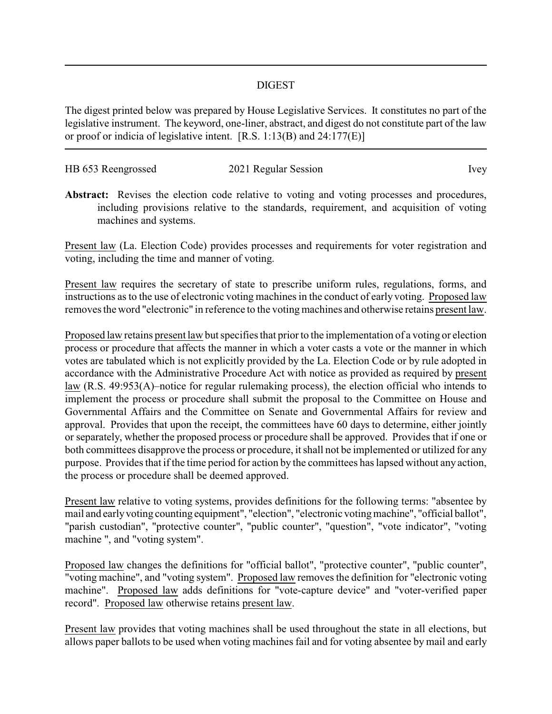## DIGEST

The digest printed below was prepared by House Legislative Services. It constitutes no part of the legislative instrument. The keyword, one-liner, abstract, and digest do not constitute part of the law or proof or indicia of legislative intent. [R.S. 1:13(B) and 24:177(E)]

| HB 653 Reengrossed | 2021 Regular Session | Ivey |
|--------------------|----------------------|------|

Abstract: Revises the election code relative to voting and voting processes and procedures, including provisions relative to the standards, requirement, and acquisition of voting machines and systems.

Present law (La. Election Code) provides processes and requirements for voter registration and voting, including the time and manner of voting.

Present law requires the secretary of state to prescribe uniform rules, regulations, forms, and instructions as to the use of electronic voting machines in the conduct of early voting. Proposed law removes the word "electronic" in reference to the voting machines and otherwise retains present law.

Proposed law retains present law but specifies that prior to the implementation of a voting or election process or procedure that affects the manner in which a voter casts a vote or the manner in which votes are tabulated which is not explicitly provided by the La. Election Code or by rule adopted in accordance with the Administrative Procedure Act with notice as provided as required by present law (R.S. 49:953(A)–notice for regular rulemaking process), the election official who intends to implement the process or procedure shall submit the proposal to the Committee on House and Governmental Affairs and the Committee on Senate and Governmental Affairs for review and approval. Provides that upon the receipt, the committees have 60 days to determine, either jointly or separately, whether the proposed process or procedure shall be approved. Provides that if one or both committees disapprove the process or procedure, it shall not be implemented or utilized for any purpose. Provides that if the time period for action by the committees has lapsed without any action, the process or procedure shall be deemed approved.

Present law relative to voting systems, provides definitions for the following terms: "absentee by mail and earlyvoting counting equipment", "election", "electronic votingmachine", "official ballot", "parish custodian", "protective counter", "public counter", "question", "vote indicator", "voting machine ", and "voting system".

Proposed law changes the definitions for "official ballot", "protective counter", "public counter", "voting machine", and "voting system". Proposed law removes the definition for "electronic voting machine". Proposed law adds definitions for "vote-capture device" and "voter-verified paper record". Proposed law otherwise retains present law.

Present law provides that voting machines shall be used throughout the state in all elections, but allows paper ballots to be used when voting machines fail and for voting absentee by mail and early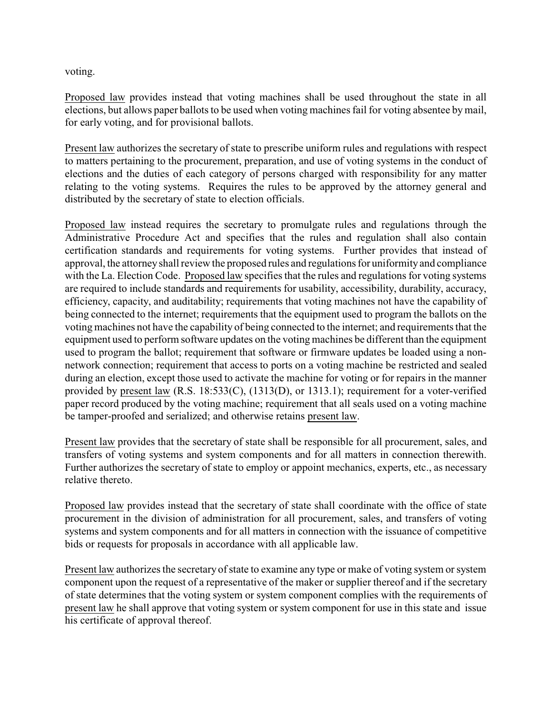voting.

Proposed law provides instead that voting machines shall be used throughout the state in all elections, but allows paper ballots to be used when voting machines fail for voting absentee by mail, for early voting, and for provisional ballots.

Present law authorizes the secretary of state to prescribe uniform rules and regulations with respect to matters pertaining to the procurement, preparation, and use of voting systems in the conduct of elections and the duties of each category of persons charged with responsibility for any matter relating to the voting systems. Requires the rules to be approved by the attorney general and distributed by the secretary of state to election officials.

Proposed law instead requires the secretary to promulgate rules and regulations through the Administrative Procedure Act and specifies that the rules and regulation shall also contain certification standards and requirements for voting systems. Further provides that instead of approval, the attorneyshall review the proposed rules and regulations for uniformity and compliance with the La. Election Code. Proposed law specifies that the rules and regulations for voting systems are required to include standards and requirements for usability, accessibility, durability, accuracy, efficiency, capacity, and auditability; requirements that voting machines not have the capability of being connected to the internet; requirements that the equipment used to program the ballots on the voting machines not have the capability of being connected to the internet; and requirements that the equipment used to perform software updates on the voting machines be different than the equipment used to program the ballot; requirement that software or firmware updates be loaded using a nonnetwork connection; requirement that access to ports on a voting machine be restricted and sealed during an election, except those used to activate the machine for voting or for repairs in the manner provided by present law (R.S. 18:533(C), (1313(D), or 1313.1); requirement for a voter-verified paper record produced by the voting machine; requirement that all seals used on a voting machine be tamper-proofed and serialized; and otherwise retains present law.

Present law provides that the secretary of state shall be responsible for all procurement, sales, and transfers of voting systems and system components and for all matters in connection therewith. Further authorizes the secretary of state to employ or appoint mechanics, experts, etc., as necessary relative thereto.

Proposed law provides instead that the secretary of state shall coordinate with the office of state procurement in the division of administration for all procurement, sales, and transfers of voting systems and system components and for all matters in connection with the issuance of competitive bids or requests for proposals in accordance with all applicable law.

Present law authorizes the secretary of state to examine any type or make of voting system or system component upon the request of a representative of the maker or supplier thereof and if the secretary of state determines that the voting system or system component complies with the requirements of present law he shall approve that voting system or system component for use in this state and issue his certificate of approval thereof.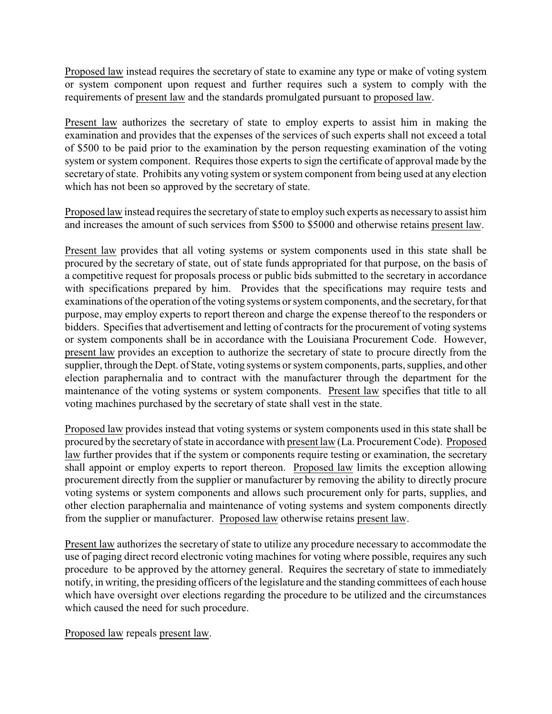Proposed law instead requires the secretary of state to examine any type or make of voting system or system component upon request and further requires such a system to comply with the requirements of present law and the standards promulgated pursuant to proposed law.

Present law authorizes the secretary of state to employ experts to assist him in making the examination and provides that the expenses of the services of such experts shall not exceed a total of \$500 to be paid prior to the examination by the person requesting examination of the voting system or system component. Requires those experts to sign the certificate of approval made by the secretary of state. Prohibits any voting system or system component from being used at any election which has not been so approved by the secretary of state.

Proposed law instead requires the secretaryof state to employ such experts as necessaryto assist him and increases the amount of such services from \$500 to \$5000 and otherwise retains present law.

Present law provides that all voting systems or system components used in this state shall be procured by the secretary of state, out of state funds appropriated for that purpose, on the basis of a competitive request for proposals process or public bids submitted to the secretary in accordance with specifications prepared by him. Provides that the specifications may require tests and examinations of the operation of the voting systems or system components, and the secretary, for that purpose, may employ experts to report thereon and charge the expense thereof to the responders or bidders. Specifies that advertisement and letting of contracts for the procurement of voting systems or system components shall be in accordance with the Louisiana Procurement Code. However, present law provides an exception to authorize the secretary of state to procure directly from the supplier, through the Dept. of State, voting systems or system components, parts, supplies, and other election paraphernalia and to contract with the manufacturer through the department for the maintenance of the voting systems or system components. Present law specifies that title to all voting machines purchased by the secretary of state shall vest in the state.

Proposed law provides instead that voting systems or system components used in this state shall be procured by the secretary of state in accordance with present law (La. Procurement Code). Proposed law further provides that if the system or components require testing or examination, the secretary shall appoint or employ experts to report thereon. Proposed law limits the exception allowing procurement directly from the supplier or manufacturer by removing the ability to directly procure voting systems or system components and allows such procurement only for parts, supplies, and other election paraphernalia and maintenance of voting systems and system components directly from the supplier or manufacturer. Proposed law otherwise retains present law.

Present law authorizes the secretary of state to utilize any procedure necessary to accommodate the use of paging direct record electronic voting machines for voting where possible, requires any such procedure to be approved by the attorney general. Requires the secretary of state to immediately notify, in writing, the presiding officers of the legislature and the standing committees of each house which have oversight over elections regarding the procedure to be utilized and the circumstances which caused the need for such procedure.

Proposed law repeals present law.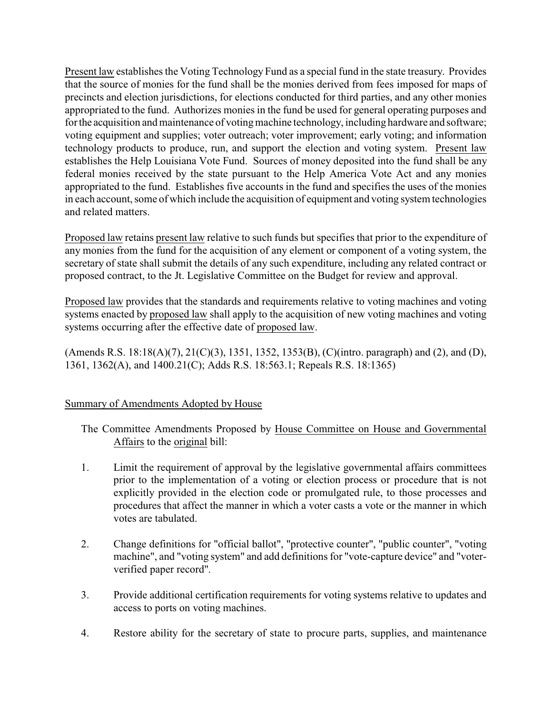Present law establishes the Voting Technology Fund as a special fund in the state treasury. Provides that the source of monies for the fund shall be the monies derived from fees imposed for maps of precincts and election jurisdictions, for elections conducted for third parties, and any other monies appropriated to the fund. Authorizes monies in the fund be used for general operating purposes and for the acquisition and maintenance of voting machine technology, including hardware and software; voting equipment and supplies; voter outreach; voter improvement; early voting; and information technology products to produce, run, and support the election and voting system. Present law establishes the Help Louisiana Vote Fund. Sources of money deposited into the fund shall be any federal monies received by the state pursuant to the Help America Vote Act and any monies appropriated to the fund. Establishes five accounts in the fund and specifies the uses of the monies in each account, some of which include the acquisition of equipment and voting system technologies and related matters.

Proposed law retains present law relative to such funds but specifies that prior to the expenditure of any monies from the fund for the acquisition of any element or component of a voting system, the secretary of state shall submit the details of any such expenditure, including any related contract or proposed contract, to the Jt. Legislative Committee on the Budget for review and approval.

Proposed law provides that the standards and requirements relative to voting machines and voting systems enacted by proposed law shall apply to the acquisition of new voting machines and voting systems occurring after the effective date of proposed law.

(Amends R.S. 18:18(A)(7), 21(C)(3), 1351, 1352, 1353(B), (C)(intro. paragraph) and (2), and (D), 1361, 1362(A), and 1400.21(C); Adds R.S. 18:563.1; Repeals R.S. 18:1365)

## Summary of Amendments Adopted by House

The Committee Amendments Proposed by House Committee on House and Governmental Affairs to the original bill:

- 1. Limit the requirement of approval by the legislative governmental affairs committees prior to the implementation of a voting or election process or procedure that is not explicitly provided in the election code or promulgated rule, to those processes and procedures that affect the manner in which a voter casts a vote or the manner in which votes are tabulated.
- 2. Change definitions for "official ballot", "protective counter", "public counter", "voting machine", and "voting system" and add definitions for "vote-capture device" and "voterverified paper record".
- 3. Provide additional certification requirements for voting systems relative to updates and access to ports on voting machines.
- 4. Restore ability for the secretary of state to procure parts, supplies, and maintenance